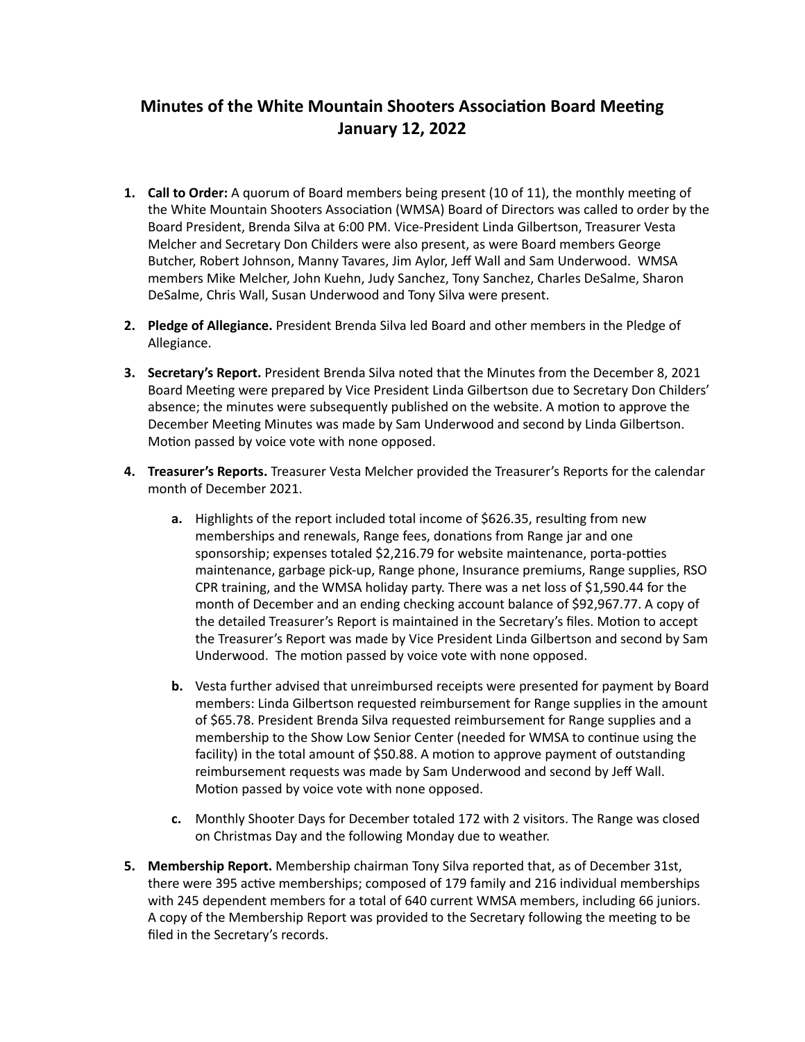## **Minutes of the White Mountain Shooters Association Board Meeting January 12, 2022**

- **1.** Call to Order: A quorum of Board members being present (10 of 11), the monthly meeting of the White Mountain Shooters Association (WMSA) Board of Directors was called to order by the Board President, Brenda Silva at 6:00 PM. Vice-President Linda Gilbertson, Treasurer Vesta Melcher and Secretary Don Childers were also present, as were Board members George Butcher, Robert Johnson, Manny Tavares, Jim Aylor, Jeff Wall and Sam Underwood. WMSA members Mike Melcher, John Kuehn, Judy Sanchez, Tony Sanchez, Charles DeSalme, Sharon DeSalme, Chris Wall, Susan Underwood and Tony Silva were present.
- **2.** Pledge of Allegiance. President Brenda Silva led Board and other members in the Pledge of Allegiance.
- **3.** Secretary's Report. President Brenda Silva noted that the Minutes from the December 8, 2021 Board Meeting were prepared by Vice President Linda Gilbertson due to Secretary Don Childers' absence; the minutes were subsequently published on the website. A motion to approve the December Meeting Minutes was made by Sam Underwood and second by Linda Gilbertson. Motion passed by voice vote with none opposed.
- **4. Treasurer's Reports.** Treasurer Vesta Melcher provided the Treasurer's Reports for the calendar month of December 2021.
	- **a.** Highlights of the report included total income of \$626.35, resulting from new memberships and renewals, Range fees, donations from Range jar and one sponsorship; expenses totaled \$2,216.79 for website maintenance, porta-potties maintenance, garbage pick-up, Range phone, Insurance premiums, Range supplies, RSO CPR training, and the WMSA holiday party. There was a net loss of \$1,590.44 for the month of December and an ending checking account balance of \$92,967.77. A copy of the detailed Treasurer's Report is maintained in the Secretary's files. Motion to accept the Treasurer's Report was made by Vice President Linda Gilbertson and second by Sam Underwood. The motion passed by voice vote with none opposed.
	- **b.** Vesta further advised that unreimbursed receipts were presented for payment by Board members: Linda Gilbertson requested reimbursement for Range supplies in the amount of \$65.78. President Brenda Silva requested reimbursement for Range supplies and a membership to the Show Low Senior Center (needed for WMSA to continue using the facility) in the total amount of \$50.88. A motion to approve payment of outstanding reimbursement requests was made by Sam Underwood and second by Jeff Wall. Motion passed by voice vote with none opposed.
	- **c.** Monthly Shooter Days for December totaled 172 with 2 visitors. The Range was closed on Christmas Day and the following Monday due to weather.
- **5.** Membership Report. Membership chairman Tony Silva reported that, as of December 31st, there were 395 active memberships; composed of 179 family and 216 individual memberships with 245 dependent members for a total of 640 current WMSA members, including 66 juniors. A copy of the Membership Report was provided to the Secretary following the meeting to be filed in the Secretary's records.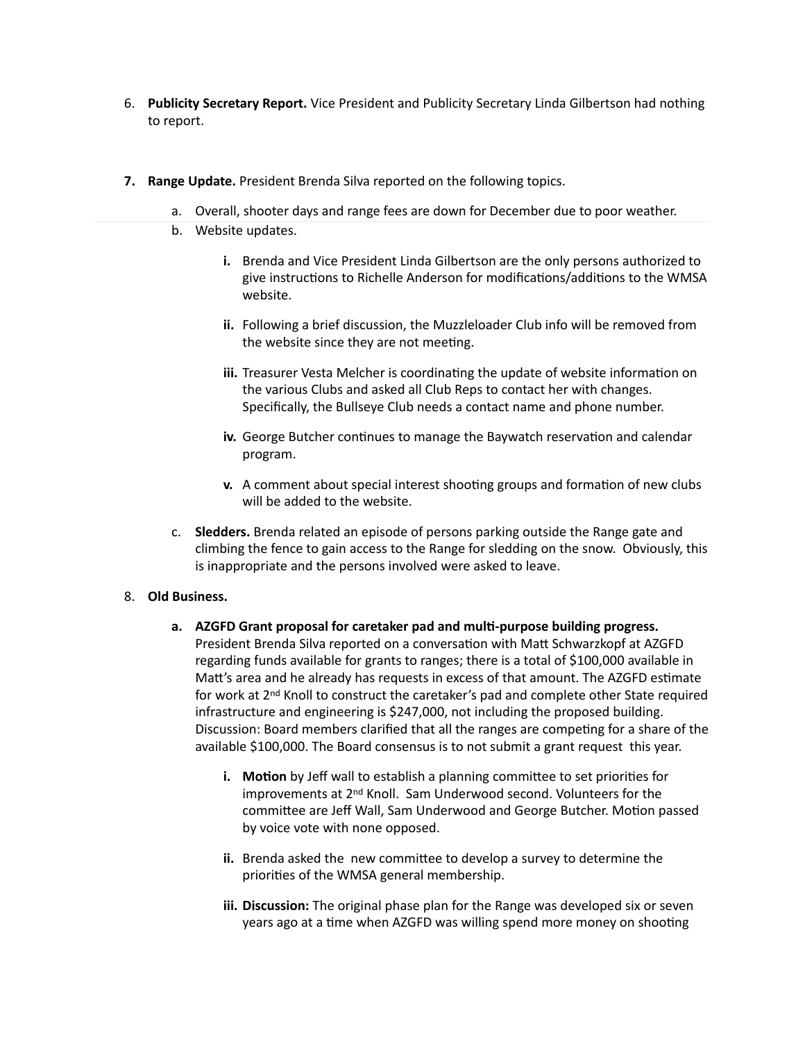- 6. **Publicity Secretary Report.** Vice President and Publicity Secretary Linda Gilbertson had nothing to report.
- **7.** Range Update. President Brenda Silva reported on the following topics.
	- a. Overall, shooter days and range fees are down for December due to poor weather.
	- b. Website updates.
		- **i.** Brenda and Vice President Linda Gilbertson are the only persons authorized to give instructions to Richelle Anderson for modifications/additions to the WMSA website.
		- **ii.** Following a brief discussion, the Muzzleloader Club info will be removed from the website since they are not meeting.
		- **iii.** Treasurer Vesta Melcher is coordinating the update of website information on the various Clubs and asked all Club Reps to contact her with changes. Specifically, the Bullseye Club needs a contact name and phone number.
		- **iv.** George Butcher continues to manage the Baywatch reservation and calendar program.
		- **v.** A comment about special interest shooting groups and formation of new clubs will be added to the website.
	- c. Sledders. Brenda related an episode of persons parking outside the Range gate and climbing the fence to gain access to the Range for sledding on the snow. Obviously, this is inappropriate and the persons involved were asked to leave.

## 8. **Old Business.**

- a. AZGFD Grant proposal for caretaker pad and multi-purpose building progress. President Brenda Silva reported on a conversation with Matt Schwarzkopf at AZGFD regarding funds available for grants to ranges; there is a total of \$100,000 available in Matt's area and he already has requests in excess of that amount. The AZGFD estimate for work at 2<sup>nd</sup> Knoll to construct the caretaker's pad and complete other State required infrastructure and engineering is \$247,000, not including the proposed building. Discussion: Board members clarified that all the ranges are competing for a share of the available \$100,000. The Board consensus is to not submit a grant request this year.
	- **i.** Motion by Jeff wall to establish a planning committee to set priorities for improvements at 2<sup>nd</sup> Knoll. Sam Underwood second. Volunteers for the committee are Jeff Wall, Sam Underwood and George Butcher. Motion passed by voice vote with none opposed.
	- **ii.** Brenda asked the new committee to develop a survey to determine the priorities of the WMSA general membership.
	- **iii.** Discussion: The original phase plan for the Range was developed six or seven years ago at a time when AZGFD was willing spend more money on shooting